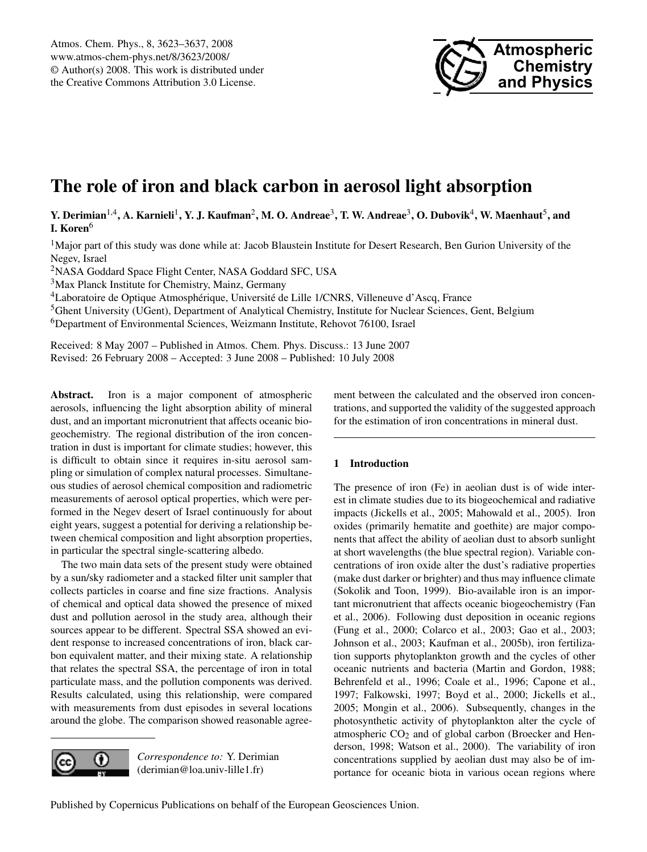

# **The role of iron and black carbon in aerosol light absorption**

 $Y$ . Derimian<sup>1,4</sup>, A. Karnieli<sup>1</sup>, Y. J. Kaufman<sup>2</sup>, M. O. Andreae<sup>3</sup>, T. W. Andreae<sup>3</sup>, O. Dubovik<sup>4</sup>, W. Maenhaut<sup>5</sup>, and **I. Koren**<sup>6</sup>

 $1$ Major part of this study was done while at: Jacob Blaustein Institute for Desert Research, Ben Gurion University of the Negev, Israel

<sup>2</sup>NASA Goddard Space Flight Center, NASA Goddard SFC, USA

<sup>3</sup>Max Planck Institute for Chemistry, Mainz, Germany

<sup>4</sup>Laboratoire de Optique Atmosphérique, Université de Lille 1/CNRS, Villeneuve d'Ascq, France

<sup>5</sup>Ghent University (UGent), Department of Analytical Chemistry, Institute for Nuclear Sciences, Gent, Belgium <sup>6</sup>Department of Environmental Sciences, Weizmann Institute, Rehovot 76100, Israel

Received: 8 May 2007 – Published in Atmos. Chem. Phys. Discuss.: 13 June 2007 Revised: 26 February 2008 – Accepted: 3 June 2008 – Published: 10 July 2008

**Abstract.** Iron is a major component of atmospheric aerosols, influencing the light absorption ability of mineral dust, and an important micronutrient that affects oceanic biogeochemistry. The regional distribution of the iron concentration in dust is important for climate studies; however, this is difficult to obtain since it requires in-situ aerosol sampling or simulation of complex natural processes. Simultaneous studies of aerosol chemical composition and radiometric measurements of aerosol optical properties, which were performed in the Negev desert of Israel continuously for about eight years, suggest a potential for deriving a relationship between chemical composition and light absorption properties, in particular the spectral single-scattering albedo.

The two main data sets of the present study were obtained by a sun/sky radiometer and a stacked filter unit sampler that collects particles in coarse and fine size fractions. Analysis of chemical and optical data showed the presence of mixed dust and pollution aerosol in the study area, although their sources appear to be different. Spectral SSA showed an evident response to increased concentrations of iron, black carbon equivalent matter, and their mixing state. A relationship that relates the spectral SSA, the percentage of iron in total particulate mass, and the pollution components was derived. Results calculated, using this relationship, were compared with measurements from dust episodes in several locations around the globe. The comparison showed reasonable agree-



*Correspondence to:* Y. Derimian (derimian@loa.univ-lille1.fr)

ment between the calculated and the observed iron concentrations, and supported the validity of the suggested approach for the estimation of iron concentrations in mineral dust.

# **1 Introduction**

The presence of iron (Fe) in aeolian dust is of wide interest in climate studies due to its biogeochemical and radiative impacts (Jickells et al., 2005; Mahowald et al., 2005). Iron oxides (primarily hematite and goethite) are major components that affect the ability of aeolian dust to absorb sunlight at short wavelengths (the blue spectral region). Variable concentrations of iron oxide alter the dust's radiative properties (make dust darker or brighter) and thus may influence climate (Sokolik and Toon, 1999). Bio-available iron is an important micronutrient that affects oceanic biogeochemistry (Fan et al., 2006). Following dust deposition in oceanic regions (Fung et al., 2000; Colarco et al., 2003; Gao et al., 2003; Johnson et al., 2003; Kaufman et al., 2005b), iron fertilization supports phytoplankton growth and the cycles of other oceanic nutrients and bacteria (Martin and Gordon, 1988; Behrenfeld et al., 1996; Coale et al., 1996; Capone et al., 1997; Falkowski, 1997; Boyd et al., 2000; Jickells et al., 2005; Mongin et al., 2006). Subsequently, changes in the photosynthetic activity of phytoplankton alter the cycle of atmospheric  $CO<sub>2</sub>$  and of global carbon (Broecker and Henderson, 1998; Watson et al., 2000). The variability of iron concentrations supplied by aeolian dust may also be of importance for oceanic biota in various ocean regions where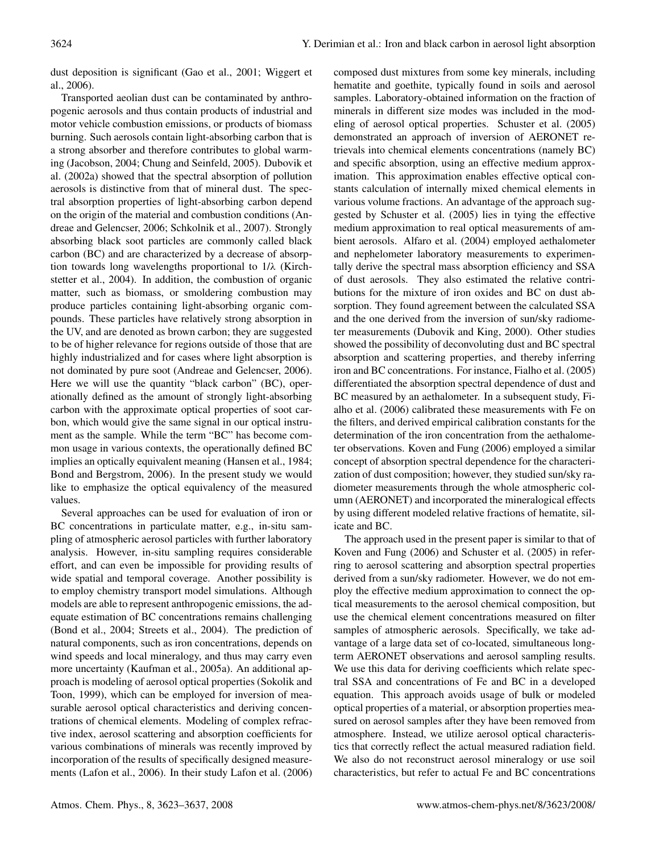dust deposition is significant (Gao et al., 2001; Wiggert et al., 2006).

Transported aeolian dust can be contaminated by anthropogenic aerosols and thus contain products of industrial and motor vehicle combustion emissions, or products of biomass burning. Such aerosols contain light-absorbing carbon that is a strong absorber and therefore contributes to global warming (Jacobson, 2004; Chung and Seinfeld, 2005). Dubovik et al. (2002a) showed that the spectral absorption of pollution aerosols is distinctive from that of mineral dust. The spectral absorption properties of light-absorbing carbon depend on the origin of the material and combustion conditions (Andreae and Gelencser, 2006; Schkolnik et al., 2007). Strongly absorbing black soot particles are commonly called black carbon (BC) and are characterized by a decrease of absorption towards long wavelengths proportional to 1/λ (Kirchstetter et al., 2004). In addition, the combustion of organic matter, such as biomass, or smoldering combustion may produce particles containing light-absorbing organic compounds. These particles have relatively strong absorption in the UV, and are denoted as brown carbon; they are suggested to be of higher relevance for regions outside of those that are highly industrialized and for cases where light absorption is not dominated by pure soot (Andreae and Gelencser, 2006). Here we will use the quantity "black carbon" (BC), operationally defined as the amount of strongly light-absorbing carbon with the approximate optical properties of soot carbon, which would give the same signal in our optical instrument as the sample. While the term "BC" has become common usage in various contexts, the operationally defined BC implies an optically equivalent meaning (Hansen et al., 1984; Bond and Bergstrom, 2006). In the present study we would like to emphasize the optical equivalency of the measured values.

Several approaches can be used for evaluation of iron or BC concentrations in particulate matter, e.g., in-situ sampling of atmospheric aerosol particles with further laboratory analysis. However, in-situ sampling requires considerable effort, and can even be impossible for providing results of wide spatial and temporal coverage. Another possibility is to employ chemistry transport model simulations. Although models are able to represent anthropogenic emissions, the adequate estimation of BC concentrations remains challenging (Bond et al., 2004; Streets et al., 2004). The prediction of natural components, such as iron concentrations, depends on wind speeds and local mineralogy, and thus may carry even more uncertainty (Kaufman et al., 2005a). An additional approach is modeling of aerosol optical properties (Sokolik and Toon, 1999), which can be employed for inversion of measurable aerosol optical characteristics and deriving concentrations of chemical elements. Modeling of complex refractive index, aerosol scattering and absorption coefficients for various combinations of minerals was recently improved by incorporation of the results of specifically designed measurements (Lafon et al., 2006). In their study Lafon et al. (2006) composed dust mixtures from some key minerals, including hematite and goethite, typically found in soils and aerosol samples. Laboratory-obtained information on the fraction of minerals in different size modes was included in the modeling of aerosol optical properties. Schuster et al. (2005) demonstrated an approach of inversion of AERONET retrievals into chemical elements concentrations (namely BC) and specific absorption, using an effective medium approximation. This approximation enables effective optical constants calculation of internally mixed chemical elements in various volume fractions. An advantage of the approach suggested by Schuster et al. (2005) lies in tying the effective medium approximation to real optical measurements of ambient aerosols. Alfaro et al. (2004) employed aethalometer and nephelometer laboratory measurements to experimentally derive the spectral mass absorption efficiency and SSA of dust aerosols. They also estimated the relative contributions for the mixture of iron oxides and BC on dust absorption. They found agreement between the calculated SSA and the one derived from the inversion of sun/sky radiometer measurements (Dubovik and King, 2000). Other studies showed the possibility of deconvoluting dust and BC spectral absorption and scattering properties, and thereby inferring iron and BC concentrations. For instance, Fialho et al. (2005) differentiated the absorption spectral dependence of dust and BC measured by an aethalometer. In a subsequent study, Fialho et al. (2006) calibrated these measurements with Fe on the filters, and derived empirical calibration constants for the determination of the iron concentration from the aethalometer observations. Koven and Fung (2006) employed a similar concept of absorption spectral dependence for the characterization of dust composition; however, they studied sun/sky radiometer measurements through the whole atmospheric column (AERONET) and incorporated the mineralogical effects by using different modeled relative fractions of hematite, silicate and BC.

The approach used in the present paper is similar to that of Koven and Fung (2006) and Schuster et al. (2005) in referring to aerosol scattering and absorption spectral properties derived from a sun/sky radiometer. However, we do not employ the effective medium approximation to connect the optical measurements to the aerosol chemical composition, but use the chemical element concentrations measured on filter samples of atmospheric aerosols. Specifically, we take advantage of a large data set of co-located, simultaneous longterm AERONET observations and aerosol sampling results. We use this data for deriving coefficients which relate spectral SSA and concentrations of Fe and BC in a developed equation. This approach avoids usage of bulk or modeled optical properties of a material, or absorption properties measured on aerosol samples after they have been removed from atmosphere. Instead, we utilize aerosol optical characteristics that correctly reflect the actual measured radiation field. We also do not reconstruct aerosol mineralogy or use soil characteristics, but refer to actual Fe and BC concentrations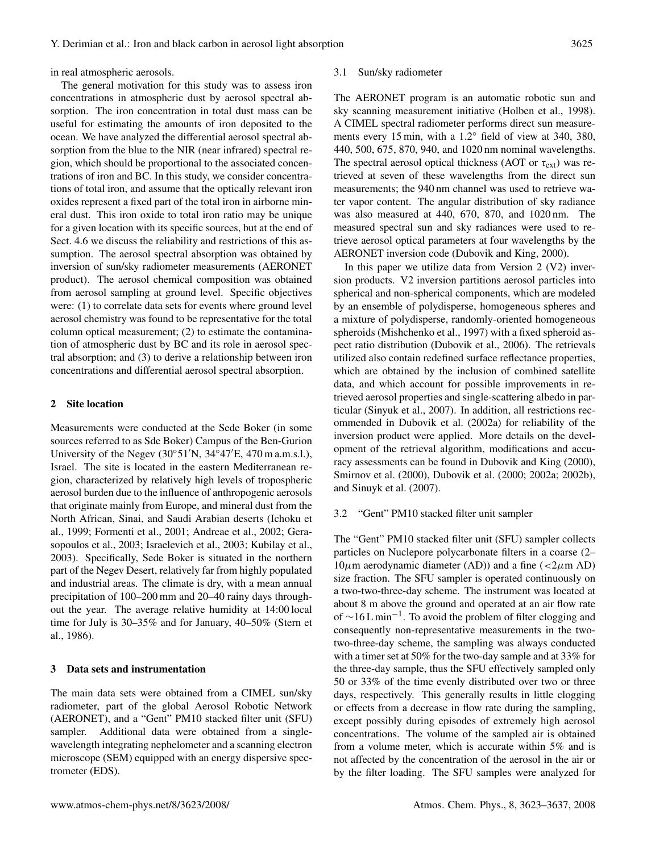in real atmospheric aerosols.

The general motivation for this study was to assess iron concentrations in atmospheric dust by aerosol spectral absorption. The iron concentration in total dust mass can be useful for estimating the amounts of iron deposited to the ocean. We have analyzed the differential aerosol spectral absorption from the blue to the NIR (near infrared) spectral region, which should be proportional to the associated concentrations of iron and BC. In this study, we consider concentrations of total iron, and assume that the optically relevant iron oxides represent a fixed part of the total iron in airborne mineral dust. This iron oxide to total iron ratio may be unique for a given location with its specific sources, but at the end of Sect. 4.6 we discuss the reliability and restrictions of this assumption. The aerosol spectral absorption was obtained by inversion of sun/sky radiometer measurements (AERONET product). The aerosol chemical composition was obtained from aerosol sampling at ground level. Specific objectives were: (1) to correlate data sets for events where ground level aerosol chemistry was found to be representative for the total column optical measurement; (2) to estimate the contamination of atmospheric dust by BC and its role in aerosol spectral absorption; and (3) to derive a relationship between iron concentrations and differential aerosol spectral absorption.

#### **2 Site location**

Measurements were conducted at the Sede Boker (in some sources referred to as Sde Boker) Campus of the Ben-Gurion University of the Negev (30◦51′N, 34◦47′E, 470 m a.m.s.l.), Israel. The site is located in the eastern Mediterranean region, characterized by relatively high levels of tropospheric aerosol burden due to the influence of anthropogenic aerosols that originate mainly from Europe, and mineral dust from the North African, Sinai, and Saudi Arabian deserts (Ichoku et al., 1999; Formenti et al., 2001; Andreae et al., 2002; Gerasopoulos et al., 2003; Israelevich et al., 2003; Kubilay et al., 2003). Specifically, Sede Boker is situated in the northern part of the Negev Desert, relatively far from highly populated and industrial areas. The climate is dry, with a mean annual precipitation of 100–200 mm and 20–40 rainy days throughout the year. The average relative humidity at 14:00 local time for July is 30–35% and for January, 40–50% (Stern et al., 1986).

#### **3 Data sets and instrumentation**

The main data sets were obtained from a CIMEL sun/sky radiometer, part of the global Aerosol Robotic Network (AERONET), and a "Gent" PM10 stacked filter unit (SFU) sampler. Additional data were obtained from a singlewavelength integrating nephelometer and a scanning electron microscope (SEM) equipped with an energy dispersive spectrometer (EDS).

#### 3.1 Sun/sky radiometer

The AERONET program is an automatic robotic sun and sky scanning measurement initiative (Holben et al., 1998). A CIMEL spectral radiometer performs direct sun measurements every 15 min, with a 1.2◦ field of view at 340, 380, 440, 500, 675, 870, 940, and 1020 nm nominal wavelengths. The spectral aerosol optical thickness (AOT or  $\tau_{ext}$ ) was retrieved at seven of these wavelengths from the direct sun measurements; the 940 nm channel was used to retrieve water vapor content. The angular distribution of sky radiance was also measured at 440, 670, 870, and 1020 nm. The measured spectral sun and sky radiances were used to retrieve aerosol optical parameters at four wavelengths by the AERONET inversion code (Dubovik and King, 2000).

In this paper we utilize data from Version 2 (V2) inversion products. V2 inversion partitions aerosol particles into spherical and non-spherical components, which are modeled by an ensemble of polydisperse, homogeneous spheres and a mixture of polydisperse, randomly-oriented homogeneous spheroids (Mishchenko et al., 1997) with a fixed spheroid aspect ratio distribution (Dubovik et al., 2006). The retrievals utilized also contain redefined surface reflectance properties, which are obtained by the inclusion of combined satellite data, and which account for possible improvements in retrieved aerosol properties and single-scattering albedo in particular (Sinyuk et al., 2007). In addition, all restrictions recommended in Dubovik et al. (2002a) for reliability of the inversion product were applied. More details on the development of the retrieval algorithm, modifications and accuracy assessments can be found in Dubovik and King (2000), Smirnov et al. (2000), Dubovik et al. (2000; 2002a; 2002b), and Sinuyk et al. (2007).

## 3.2 "Gent" PM10 stacked filter unit sampler

The "Gent" PM10 stacked filter unit (SFU) sampler collects particles on Nuclepore polycarbonate filters in a coarse (2–  $10\mu$ m aerodynamic diameter (AD)) and a fine (<2 $\mu$ m AD) size fraction. The SFU sampler is operated continuously on a two-two-three-day scheme. The instrument was located at about 8 m above the ground and operated at an air flow rate of ~16 L min<sup>-1</sup>. To avoid the problem of filter clogging and consequently non-representative measurements in the twotwo-three-day scheme, the sampling was always conducted with a timer set at 50% for the two-day sample and at 33% for the three-day sample, thus the SFU effectively sampled only 50 or 33% of the time evenly distributed over two or three days, respectively. This generally results in little clogging or effects from a decrease in flow rate during the sampling, except possibly during episodes of extremely high aerosol concentrations. The volume of the sampled air is obtained from a volume meter, which is accurate within 5% and is not affected by the concentration of the aerosol in the air or by the filter loading. The SFU samples were analyzed for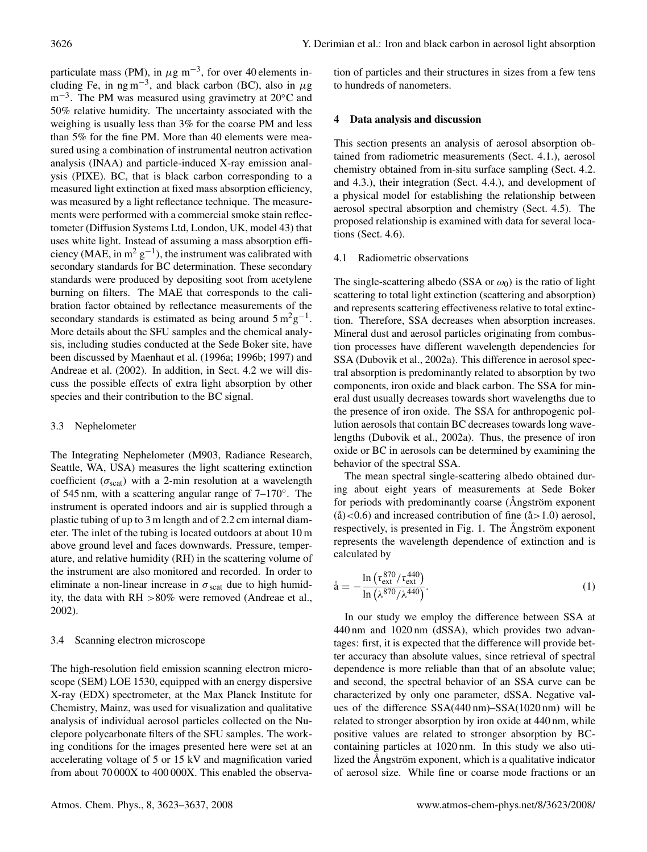particulate mass (PM), in  $\mu$ g m<sup>-3</sup>, for over 40 elements including Fe, in  $ng m^{-3}$ , and black carbon (BC), also in  $\mu g$ m<sup>-3</sup>. The PM was measured using gravimetry at 20°C and 50% relative humidity. The uncertainty associated with the weighing is usually less than 3% for the coarse PM and less than 5% for the fine PM. More than 40 elements were measured using a combination of instrumental neutron activation analysis (INAA) and particle-induced X-ray emission analysis (PIXE). BC, that is black carbon corresponding to a measured light extinction at fixed mass absorption efficiency, was measured by a light reflectance technique. The measurements were performed with a commercial smoke stain reflectometer (Diffusion Systems Ltd, London, UK, model 43) that uses white light. Instead of assuming a mass absorption efficiency (MAE, in  $m^2$  g<sup>-1</sup>), the instrument was calibrated with secondary standards for BC determination. These secondary standards were produced by depositing soot from acetylene burning on filters. The MAE that corresponds to the calibration factor obtained by reflectance measurements of the secondary standards is estimated as being around  $5 \text{ m}^2 \text{g}^{-1}$ . More details about the SFU samples and the chemical analysis, including studies conducted at the Sede Boker site, have been discussed by Maenhaut et al. (1996a; 1996b; 1997) and Andreae et al. (2002). In addition, in Sect. 4.2 we will discuss the possible effects of extra light absorption by other species and their contribution to the BC signal.

#### 3.3 Nephelometer

The Integrating Nephelometer (M903, Radiance Research, Seattle, WA, USA) measures the light scattering extinction coefficient ( $\sigma_{scat}$ ) with a 2-min resolution at a wavelength of 545 nm, with a scattering angular range of 7–170◦ . The instrument is operated indoors and air is supplied through a plastic tubing of up to 3 m length and of 2.2 cm internal diameter. The inlet of the tubing is located outdoors at about 10 m above ground level and faces downwards. Pressure, temperature, and relative humidity (RH) in the scattering volume of the instrument are also monitored and recorded. In order to eliminate a non-linear increase in  $\sigma_{scat}$  due to high humidity, the data with RH >80% were removed (Andreae et al., 2002).

#### 3.4 Scanning electron microscope

The high-resolution field emission scanning electron microscope (SEM) LOE 1530, equipped with an energy dispersive X-ray (EDX) spectrometer, at the Max Planck Institute for Chemistry, Mainz, was used for visualization and qualitative analysis of individual aerosol particles collected on the Nuclepore polycarbonate filters of the SFU samples. The working conditions for the images presented here were set at an accelerating voltage of 5 or 15 kV and magnification varied from about 70 000X to 400 000X. This enabled the observation of particles and their structures in sizes from a few tens to hundreds of nanometers.

## **4 Data analysis and discussion**

This section presents an analysis of aerosol absorption obtained from radiometric measurements (Sect. 4.1.), aerosol chemistry obtained from in-situ surface sampling (Sect. 4.2. and 4.3.), their integration (Sect. 4.4.), and development of a physical model for establishing the relationship between aerosol spectral absorption and chemistry (Sect. 4.5). The proposed relationship is examined with data for several locations (Sect. 4.6).

#### 4.1 Radiometric observations

The single-scattering albedo (SSA or  $\omega_0$ ) is the ratio of light scattering to total light extinction (scattering and absorption) and represents scattering effectiveness relative to total extinction. Therefore, SSA decreases when absorption increases. Mineral dust and aerosol particles originating from combustion processes have different wavelength dependencies for SSA (Dubovik et al., 2002a). This difference in aerosol spectral absorption is predominantly related to absorption by two components, iron oxide and black carbon. The SSA for mineral dust usually decreases towards short wavelengths due to the presence of iron oxide. The SSA for anthropogenic pollution aerosols that contain BC decreases towards long wavelengths (Dubovik et al., 2002a). Thus, the presence of iron oxide or BC in aerosols can be determined by examining the behavior of the spectral SSA.

The mean spectral single-scattering albedo obtained during about eight years of measurements at Sede Boker for periods with predominantly coarse (Angström exponent  $(\hat{a})$ <0.6) and increased contribution of fine  $(\hat{a} > 1.0)$  aerosol, respectively, is presented in Fig. 1. The Angström exponent represents the wavelength dependence of extinction and is calculated by

$$
\mathring{a} = -\frac{\ln\left(\tau_{\text{ext}}^{870}/\tau_{\text{ext}}^{440}\right)}{\ln\left(\lambda^{870}/\lambda^{440}\right)}.
$$
\n(1)

In our study we employ the difference between SSA at 440 nm and 1020 nm (dSSA), which provides two advantages: first, it is expected that the difference will provide better accuracy than absolute values, since retrieval of spectral dependence is more reliable than that of an absolute value; and second, the spectral behavior of an SSA curve can be characterized by only one parameter, dSSA. Negative values of the difference SSA(440 nm)–SSA(1020 nm) will be related to stronger absorption by iron oxide at 440 nm, while positive values are related to stronger absorption by BCcontaining particles at 1020 nm. In this study we also utilized the Angström exponent, which is a qualitative indicator of aerosol size. While fine or coarse mode fractions or an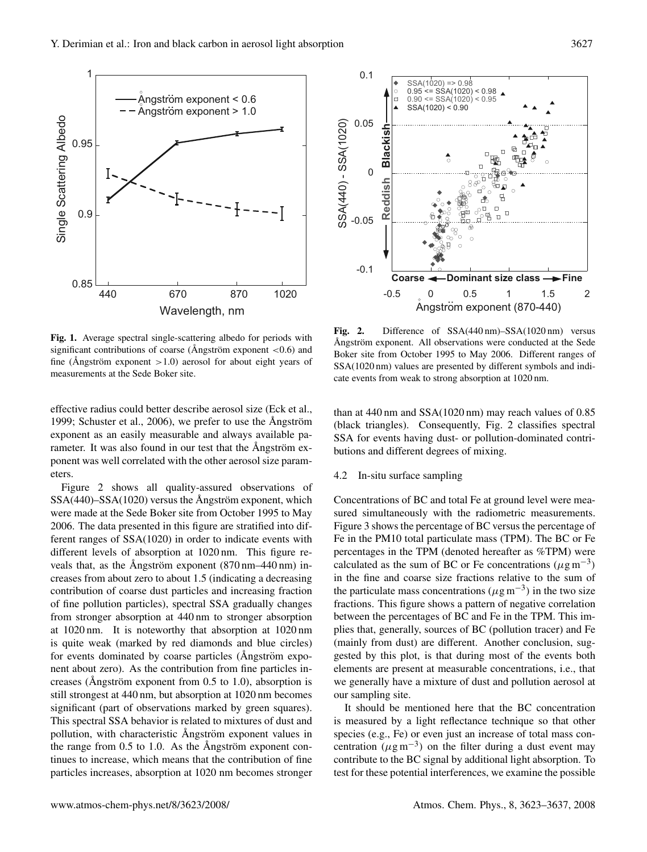

**Fig. 1.** Average spectral single-scattering albedo for periods with significant contributions of coarse (Ångström exponent  $\lt$ 0.6) and fine (Ångström exponent  $>1.0$ ) aerosol for about eight years of measurements at the Sede Boker site.

effective radius could better describe aerosol size (Eck et al., 1999; Schuster et al., 2006), we prefer to use the  $\text{Angström}$ exponent as an easily measurable and always available parameter. It was also found in our test that the Angström exponent was well correlated with the other aerosol size parameters.

Figure 2 shows all quality-assured observations of  $SSA(440)$ – $SSA(1020)$  versus the Ångström exponent, which were made at the Sede Boker site from October 1995 to May 2006. The data presented in this figure are stratified into different ranges of SSA(1020) in order to indicate events with different levels of absorption at 1020 nm. This figure reveals that, as the Angström exponent  $(870 \text{ nm} - 440 \text{ nm})$  increases from about zero to about 1.5 (indicating a decreasing contribution of coarse dust particles and increasing fraction of fine pollution particles), spectral SSA gradually changes from stronger absorption at 440 nm to stronger absorption at 1020 nm. It is noteworthy that absorption at 1020 nm is quite weak (marked by red diamonds and blue circles) for events dominated by coarse particles ( $\AA$ ngström exponent about zero). As the contribution from fine particles increases (Angström exponent from  $0.5$  to 1.0), absorption is still strongest at 440 nm, but absorption at 1020 nm becomes significant (part of observations marked by green squares). This spectral SSA behavior is related to mixtures of dust and pollution, with characteristic Ångström exponent values in the range from  $0.5$  to 1.0. As the Angström exponent continues to increase, which means that the contribution of fine particles increases, absorption at 1020 nm becomes stronger



Fig. 2. Difference of SSA(440 nm)–SSA(1020 nm) versus Angström exponent. All observations were conducted at the Sede Boker site from October 1995 to May 2006. Different ranges of SSA(1020 nm) values are presented by different symbols and indicate events from weak to strong absorption at 1020 nm.

than at 440 nm and SSA(1020 nm) may reach values of 0.85 (black triangles). Consequently, Fig. 2 classifies spectral SSA for events having dust- or pollution-dominated contributions and different degrees of mixing.

#### 4.2 In-situ surface sampling

Concentrations of BC and total Fe at ground level were measured simultaneously with the radiometric measurements. Figure 3 shows the percentage of BC versus the percentage of Fe in the PM10 total particulate mass (TPM). The BC or Fe percentages in the TPM (denoted hereafter as %TPM) were calculated as the sum of BC or Fe concentrations ( $\mu$ g m<sup>-3</sup>) in the fine and coarse size fractions relative to the sum of the particulate mass concentrations ( $\mu$ g m<sup>-3</sup>) in the two size fractions. This figure shows a pattern of negative correlation between the percentages of BC and Fe in the TPM. This implies that, generally, sources of BC (pollution tracer) and Fe (mainly from dust) are different. Another conclusion, suggested by this plot, is that during most of the events both elements are present at measurable concentrations, i.e., that we generally have a mixture of dust and pollution aerosol at our sampling site.

It should be mentioned here that the BC concentration is measured by a light reflectance technique so that other species (e.g., Fe) or even just an increase of total mass concentration  $(\mu g m^{-3})$  on the filter during a dust event may contribute to the BC signal by additional light absorption. To test for these potential interferences, we examine the possible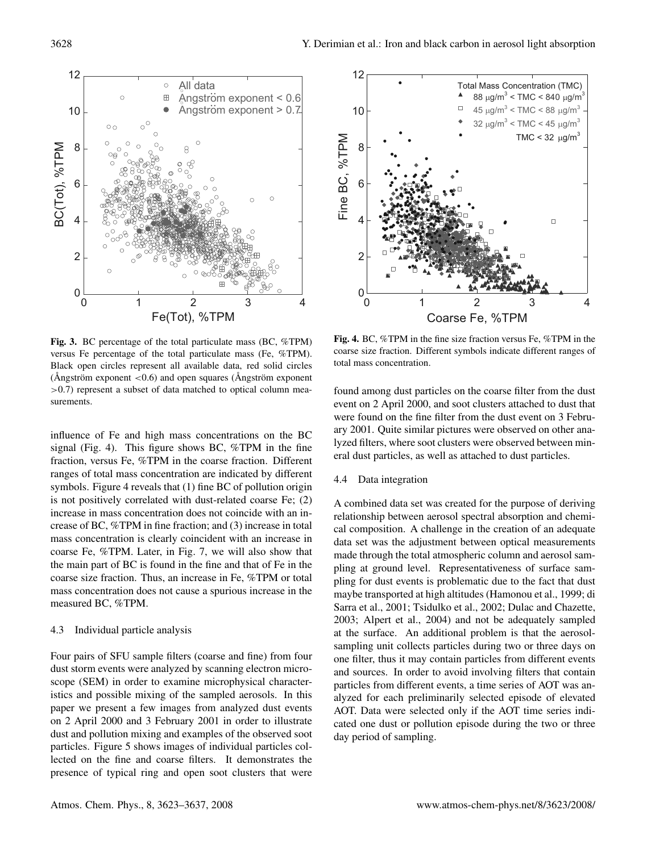

**Fig. 3.** BC percentage of the total particulate mass (BC, %TPM) versus Fe percentage of the total particulate mass (Fe, %TPM). Black open circles represent all available data, red solid circles (Ångström exponent  $< 0.6$ ) and open squares (Ångström exponent >0.7) represent a subset of data matched to optical column measurements.

influence of Fe and high mass concentrations on the BC signal (Fig. 4). This figure shows BC, %TPM in the fine fraction, versus Fe, %TPM in the coarse fraction. Different ranges of total mass concentration are indicated by different symbols. Figure 4 reveals that (1) fine BC of pollution origin is not positively correlated with dust-related coarse Fe; (2) increase in mass concentration does not coincide with an increase of BC, %TPM in fine fraction; and (3) increase in total mass concentration is clearly coincident with an increase in coarse Fe, %TPM. Later, in Fig. 7, we will also show that the main part of BC is found in the fine and that of Fe in the coarse size fraction. Thus, an increase in Fe, %TPM or total mass concentration does not cause a spurious increase in the measured BC, %TPM.

## 4.3 Individual particle analysis

Four pairs of SFU sample filters (coarse and fine) from four dust storm events were analyzed by scanning electron microscope (SEM) in order to examine microphysical characteristics and possible mixing of the sampled aerosols. In this paper we present a few images from analyzed dust events on 2 April 2000 and 3 February 2001 in order to illustrate dust and pollution mixing and examples of the observed soot particles. Figure 5 shows images of individual particles collected on the fine and coarse filters. It demonstrates the presence of typical ring and open soot clusters that were



**Fig. 4.** BC, %TPM in the fine size fraction versus Fe, %TPM in the coarse size fraction. Different symbols indicate different ranges of total mass concentration.

found among dust particles on the coarse filter from the dust event on 2 April 2000, and soot clusters attached to dust that were found on the fine filter from the dust event on 3 February 2001. Quite similar pictures were observed on other analyzed filters, where soot clusters were observed between mineral dust particles, as well as attached to dust particles.

#### 4.4 Data integration

A combined data set was created for the purpose of deriving relationship between aerosol spectral absorption and chemical composition. A challenge in the creation of an adequate data set was the adjustment between optical measurements made through the total atmospheric column and aerosol sampling at ground level. Representativeness of surface sampling for dust events is problematic due to the fact that dust maybe transported at high altitudes (Hamonou et al., 1999; di Sarra et al., 2001; Tsidulko et al., 2002; Dulac and Chazette, 2003; Alpert et al., 2004) and not be adequately sampled at the surface. An additional problem is that the aerosolsampling unit collects particles during two or three days on one filter, thus it may contain particles from different events and sources. In order to avoid involving filters that contain particles from different events, a time series of AOT was analyzed for each preliminarily selected episode of elevated AOT. Data were selected only if the AOT time series indicated one dust or pollution episode during the two or three day period of sampling.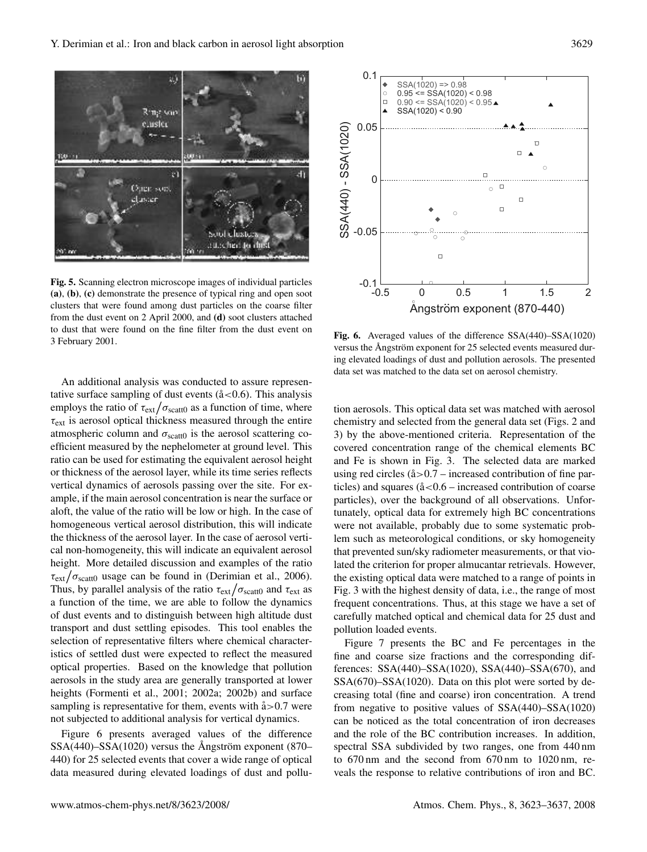**Fig. 5.** Scanning electron microscope images of individual particles **(a)**, **(b)**, **(c)** demonstrate the presence of typical ring and open soot clusters that were found among dust particles on the coarse filter from the dust event on 2 April 2000, and **(d)** soot clusters attached to dust that were found on the fine filter from the dust event on 3 February 2001.

An additional analysis was conducted to assure representative surface sampling of dust events  $(\hat{a} < 0.6)$ . This analysis employs the ratio of  $\tau_{ext}/\sigma_{scatt0}$  as a function of time, where  $\tau_{\text{ext}}$  is aerosol optical thickness measured through the entire atmospheric column and  $\sigma_{scatt0}$  is the aerosol scattering coefficient measured by the nephelometer at ground level. This ratio can be used for estimating the equivalent aerosol height or thickness of the aerosol layer, while its time series reflects vertical dynamics of aerosols passing over the site. For example, if the main aerosol concentration is near the surface or aloft, the value of the ratio will be low or high. In the case of homogeneous vertical aerosol distribution, this will indicate the thickness of the aerosol layer. In the case of aerosol vertical non-homogeneity, this will indicate an equivalent aerosol height. More detailed discussion and examples of the ratio  $\tau_{\rm ext}/\sigma_{\rm scatt0}$  usage can be found in (Derimian et al., 2006). Thus, by parallel analysis of the ratio  $\tau_{ext}/\sigma_{scatt0}$  and  $\tau_{ext}$  as a function of the time, we are able to follow the dynamics of dust events and to distinguish between high altitude dust transport and dust settling episodes. This tool enables the selection of representative filters where chemical characteristics of settled dust were expected to reflect the measured optical properties. Based on the knowledge that pollution aerosols in the study area are generally transported at lower heights (Formenti et al., 2001; 2002a; 2002b) and surface sampling is representative for them, events with  $\alpha$ =0.7 were not subjected to additional analysis for vertical dynamics.

Figure 6 presents averaged values of the difference  $SSA(440)$ – $SSA(1020)$  versus the Angström exponent (870– 440) for 25 selected events that cover a wide range of optical data measured during elevated loadings of dust and pollu-

**Fig. 6.** Averaged values of the difference SSA(440)–SSA(1020) versus the Angström exponent for 25 selected events measured during elevated loadings of dust and pollution aerosols. The presented data set was matched to the data set on aerosol chemistry.

tion aerosols. This optical data set was matched with aerosol chemistry and selected from the general data set (Figs. 2 and 3) by the above-mentioned criteria. Representation of the covered concentration range of the chemical elements BC and Fe is shown in Fig. 3. The selected data are marked using red circles  $(\hat{a} > 0.7 - \text{increased contribution of fine par-}$ ticles) and squares  $(\text{a} < 0.6 - \text{increased contribution of coarse})$ particles), over the background of all observations. Unfortunately, optical data for extremely high BC concentrations were not available, probably due to some systematic problem such as meteorological conditions, or sky homogeneity that prevented sun/sky radiometer measurements, or that violated the criterion for proper almucantar retrievals. However, the existing optical data were matched to a range of points in Fig. 3 with the highest density of data, i.e., the range of most frequent concentrations. Thus, at this stage we have a set of carefully matched optical and chemical data for 25 dust and pollution loaded events.

Figure 7 presents the BC and Fe percentages in the fine and coarse size fractions and the corresponding differences: SSA(440)–SSA(1020), SSA(440)–SSA(670), and SSA(670)–SSA(1020). Data on this plot were sorted by decreasing total (fine and coarse) iron concentration. A trend from negative to positive values of SSA(440)–SSA(1020) can be noticed as the total concentration of iron decreases and the role of the BC contribution increases. In addition, spectral SSA subdivided by two ranges, one from 440 nm to 670 nm and the second from 670 nm to 1020 nm, reveals the response to relative contributions of iron and BC.



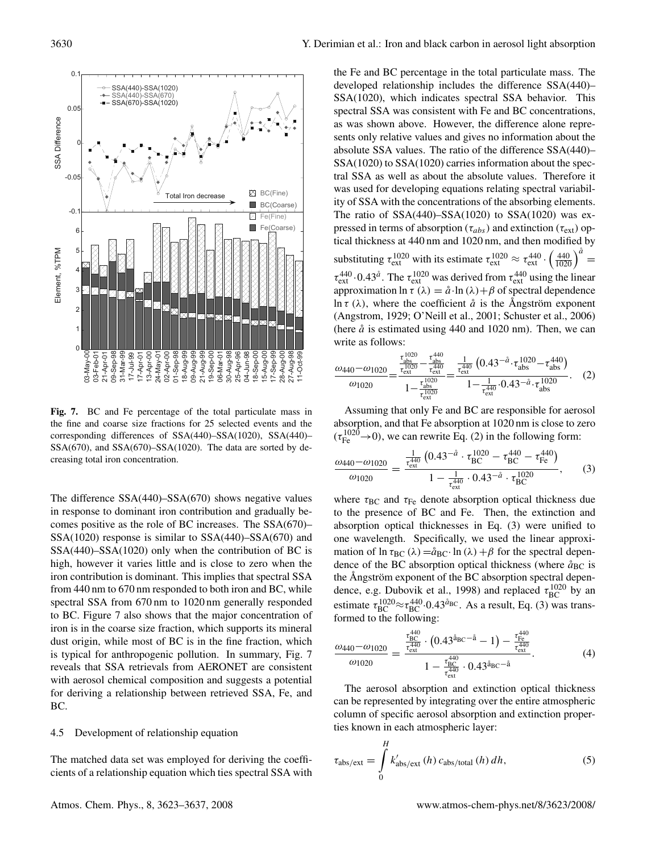

**Fig. 7.** BC and Fe percentage of the total particulate mass in the fine and coarse size fractions for 25 selected events and the corresponding differences of SSA(440)–SSA(1020), SSA(440)– SSA(670), and SSA(670)–SSA(1020). The data are sorted by decreasing total iron concentration.

The difference SSA(440)–SSA(670) shows negative values in response to dominant iron contribution and gradually becomes positive as the role of BC increases. The SSA(670)– SSA(1020) response is similar to SSA(440)–SSA(670) and SSA(440)–SSA(1020) only when the contribution of BC is high, however it varies little and is close to zero when the iron contribution is dominant. This implies that spectral SSA from 440 nm to 670 nm responded to both iron and BC, while spectral SSA from 670 nm to 1020 nm generally responded to BC. Figure 7 also shows that the major concentration of iron is in the coarse size fraction, which supports its mineral dust origin, while most of BC is in the fine fraction, which is typical for anthropogenic pollution. In summary, Fig. 7 reveals that SSA retrievals from AERONET are consistent with aerosol chemical composition and suggests a potential for deriving a relationship between retrieved SSA, Fe, and BC.

#### 4.5 Development of relationship equation

The matched data set was employed for deriving the coefficients of a relationship equation which ties spectral SSA with the Fe and BC percentage in the total particulate mass. The developed relationship includes the difference SSA(440)– SSA(1020), which indicates spectral SSA behavior. This spectral SSA was consistent with Fe and BC concentrations, as was shown above. However, the difference alone represents only relative values and gives no information about the absolute SSA values. The ratio of the difference SSA(440)– SSA(1020) to SSA(1020) carries information about the spectral SSA as well as about the absolute values. Therefore it was used for developing equations relating spectral variability of SSA with the concentrations of the absorbing elements. The ratio of  $SSA(440)$ – $SSA(1020)$  to  $SSA(1020)$  was expressed in terms of absorption ( $\tau_{abs}$ ) and extinction ( $\tau_{ext}$ ) optical thickness at 440 nm and 1020 nm, and then modified by substituting  $\tau_{ext}^{1020}$  with its estimate  $\tau_{ext}^{1020} \approx \tau_{ext}^{440} \cdot \left(\frac{440}{1020}\right)^{\tilde{a}}$  $\tau_{\text{ext}}^{440}$  · 0.43<sup> $\aa$ </sup>. The  $\tau_{\text{ext}}^{1020}$  was derived from  $\tau_{\text{ext}}^{440}$  using the linear approximation ln  $\tau(\lambda) = \mathring{a} \cdot \ln(\lambda) + \beta$  of spectral dependence ln  $\tau$  ( $\lambda$ ), where the coefficient  $\alpha$  is the Angström exponent (Angstrom, 1929; O'Neill et al., 2001; Schuster et al., 2006) (here  $\aa$  is estimated using 440 and 1020 nm). Then, we can write as follows:

$$
\frac{\omega_{440} - \omega_{1020}}{\omega_{1020}} = \frac{\frac{\tau_{\text{abs}}^{1020}}{\tau_{\text{ext}}^{1020}} - \frac{\tau_{\text{abs}}^{440}}{\tau_{\text{ext}}^{440}}}{1 - \frac{\tau_{\text{abs}}^{1020}}{\tau_{\text{ext}}^{1020}}} = \frac{\frac{1}{\tau_{\text{ext}}^{440}} \left(0.43^{-\mathring{a}} \cdot \tau_{\text{abs}}^{1020} - \tau_{\text{abs}}^{440}\right)}{1 - \frac{1}{\tau_{\text{ext}}^{440}} \cdot 0.43^{-\mathring{a}} \cdot \tau_{\text{abs}}^{1020}}.
$$
 (2)

Assuming that only Fe and BC are responsible for aerosol absorption, and that Fe absorption at 1020 nm is close to zero  $(\tau_{\text{Fe}}^{1020} \rightarrow 0)$ , we can rewrite Eq. (2) in the following form:

$$
\frac{\omega_{440} - \omega_{1020}}{\omega_{1020}} = \frac{\frac{1}{\tau_{\text{ext}}^{440}} \left( 0.43^{-\mathring{a}} \cdot \tau_{\text{BC}}^{1020} - \tau_{\text{BC}}^{440} - \tau_{\text{Fe}}^{440} \right)}{1 - \frac{1}{\tau_{\text{ext}}^{440}} \cdot 0.43^{-\mathring{a}} \cdot \tau_{\text{BC}}^{1020}},\tag{3}
$$

where  $\tau_{BC}$  and  $\tau_{Fe}$  denote absorption optical thickness due to the presence of BC and Fe. Then, the extinction and absorption optical thicknesses in Eq. (3) were unified to one wavelength. Specifically, we used the linear approximation of ln  $\tau_{BC}(\lambda) = \hat{a}_{BC} \cdot \ln(\lambda) + \beta$  for the spectral dependence of the BC absorption optical thickness (where  $\hat{a}_{BC}$  is the Ångström exponent of the BC absorption spectral dependence, e.g. Dubovik et al., 1998) and replaced  $\tau_{BC}^{1020}$  by an estimate  $\tau_{BC}^{1020} \approx \tau_{BC}^{440} \cdot 0.43^{\text{a}}$ BC. As a result, Eq. (3) was transformed to the following:

$$
\frac{\omega_{440} - \omega_{1020}}{\omega_{1020}} = \frac{\frac{\tau_{BC}^{440}}{\tau_{ext}^{440}} \cdot (0.43^{\frac{3}{48}C - \frac{3}{40}} - 1) - \frac{\tau_{Fe}^{440}}{\tau_{ext}^{440}}}{1 - \frac{\tau_{BC}^{440}}{\tau_{ext}^{440}} \cdot 0.43^{\frac{3}{48}C - \frac{3}{40}}}.
$$
(4)

The aerosol absorption and extinction optical thickness can be represented by integrating over the entire atmospheric column of specific aerosol absorption and extinction properties known in each atmospheric layer:

$$
\tau_{\rm abs/ext} = \int_{0}^{H} k'_{\rm abs/ext} (h) c_{\rm abs/total} (h) dh,
$$
 (5)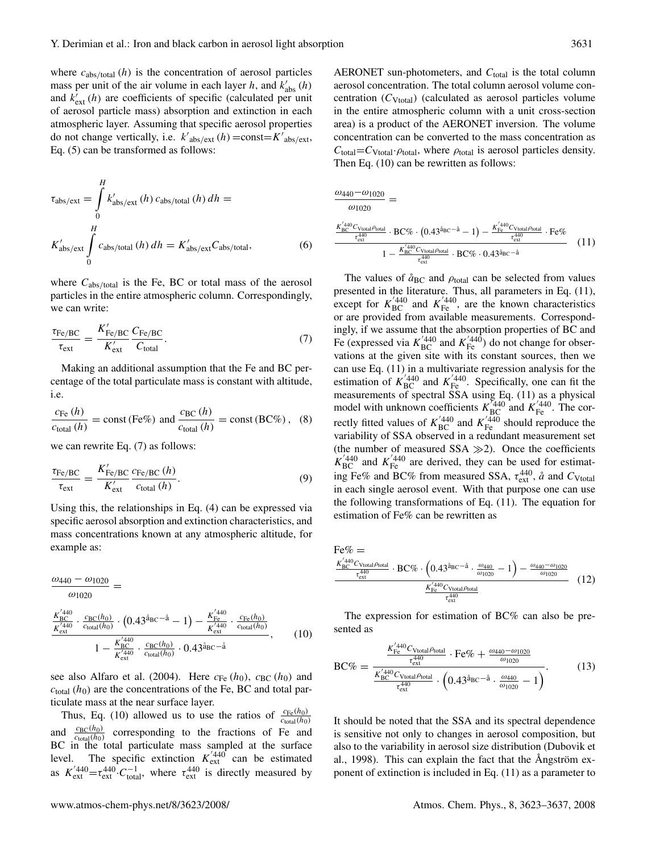where  $c_{\text{abs/total}}(h)$  is the concentration of aerosol particles mass per unit of the air volume in each layer h, and  $k'_{\text{abs}}(h)$ and  $k'_{ext}(h)$  are coefficients of specific (calculated per unit of aerosol particle mass) absorption and extinction in each atmospheric layer. Assuming that specific aerosol properties do not change vertically, i.e.  $k'_{\text{abs/ext}}(h) = \text{const} = K'_{\text{abs/ext}},$ Eq. (5) can be transformed as follows:

$$
\tau_{\rm abs/ext} = \int_{0}^{H} k'_{\rm abs/ext} (h) c_{\rm abs/total} (h) dh =
$$
  

$$
K'_{\rm abs/ext} \int_{0}^{H} c_{\rm abs/total} (h) dh = K'_{\rm abs/ext} C_{\rm abs/total},
$$
 (6)

where  $C_{\text{abs/total}}$  is the Fe, BC or total mass of the aerosol particles in the entire atmospheric column. Correspondingly, we can write:

$$
\frac{\tau_{\text{Fe/BC}}}{\tau_{\text{ext}}} = \frac{K'_{\text{Fe/BC}}}{K'_{\text{ext}}} \frac{C_{\text{Fe/BC}}}{C_{\text{total}}}.
$$
\n(7)

Making an additional assumption that the Fe and BC percentage of the total particulate mass is constant with altitude, i.e.

$$
\frac{c_{\text{Fe}}(h)}{c_{\text{total}}(h)} = \text{const} \, (\text{Fe\%}) \, \text{ and } \frac{c_{\text{BC}}(h)}{c_{\text{total}}(h)} = \text{const} \, (\text{BC\%}) \, , \quad (8)
$$

we can rewrite Eq. (7) as follows:

$$
\frac{\tau_{\text{Fe/BC}}}{\tau_{\text{ext}}} = \frac{K'_{\text{Fe/BC}}}{K'_{\text{ext}}} \frac{c_{\text{Fe/BC}}(h)}{c_{\text{total}}(h)}.
$$
\n(9)

Using this, the relationships in Eq. (4) can be expressed via specific aerosol absorption and extinction characteristics, and mass concentrations known at any atmospheric altitude, for example as:

$$
\frac{\omega_{440} - \omega_{1020}}{\omega_{1020}} =
$$
\n
$$
\frac{K_{BC}^{'440}}{K_{ext}^{'440}} \cdot \frac{c_{BC}(h_0)}{c_{\text{total}}(h_0)} \cdot (0.43^{\text{a}} \text{BC}^{-\text{a}} - 1) - \frac{K_{FC}^{'440}}{K_{ext}^{'440}} \cdot \frac{c_{Fc}(h_0)}{c_{\text{total}}(h_0)}
$$
\n
$$
1 - \frac{K_{BC}^{'440}}{K_{ext}^{'440}} \cdot \frac{c_{BC}(h_0)}{c_{\text{total}}(h_0)} \cdot 0.43^{\text{a}} \text{BC}^{-\text{a}}}, \qquad (10)
$$

see also Alfaro et al. (2004). Here  $c_{Fe}(h_0)$ ,  $c_{BC}(h_0)$  and  $c_{\text{total}}(h_0)$  are the concentrations of the Fe, BC and total particulate mass at the near surface layer.

Thus, Eq. (10) allowed us to use the ratios of  $\frac{c_{\text{Fe}}(h_0)}{c_{\text{total}}(h_0)}$ and  $\frac{c_{BC}(h_0)}{c_{\text{total}}(h_0)}$  corresponding to the fractions of Fe and BC in the total particulate mass sampled at the surface level. The specific extinction  $K_{\text{ext}}^{'440}$  can be estimated as  $K_{\text{ext}}^{'440} = \tau_{\text{ext}}^{440} \cdot C_{\text{total}}^{-1}$ , where  $\tau_{\text{ext}}^{440}$  is directly measured by

AERONET sun-photometers, and  $C_{total}$  is the total column aerosol concentration. The total column aerosol volume concentration  $(C_{Vtotal})$  (calculated as aerosol particles volume in the entire atmospheric column with a unit cross-section area) is a product of the AERONET inversion. The volume concentration can be converted to the mass concentration as  $C_{\text{total}}=C_{\text{Vtotal}}\cdot \rho_{\text{total}}$ , where  $\rho_{\text{total}}$  is aerosol particles density. Then Eq. (10) can be rewritten as follows:

$$
\frac{\omega_{440} - \omega_{1020}}{\omega_{1020}} =
$$
\n
$$
\frac{\frac{K_{BC}^{'} 440}{K_{ext}^{'} C_{Vtotal} \rho_{total}} \cdot BC\% \cdot (0.43^{\hat{a}_{BC} - \hat{a}} - 1) - \frac{K_{Fe}^{'} 440}{K_{ext}^{'} C_{Vtotal} \rho_{total}} \cdot Fe\%}{1 - \frac{K_{BC}^{'} 440}{K_{ext}^{'} C_{Vtotal} \rho_{total}} \cdot BC\% \cdot 0.43^{\hat{a}_{BC} - \hat{a}}}
$$
\n(11)

The values of  $\hat{a}_{BC}$  and  $\rho_{total}$  can be selected from values presented in the literature. Thus, all parameters in Eq. (11), except for  $K_{\text{BC}}^{'440}$  and  $K_{\text{Fe}}^{'440}$ , are the known characteristics or are provided from available measurements. Correspondingly, if we assume that the absorption properties of BC and Fe (expressed via  $K_{\text{BC}}^{'440}$  and  $K_{\text{Fe}}^{'440}$ ) do not change for observations at the given site with its constant sources, then we can use Eq. (11) in a multivariate regression analysis for the estimation of  $K_{BC}^{7440}$  and  $K_{Fe}^{7440}$ . Specifically, one can fit the measurements of spectral SSA using Eq. (11) as a physical model with unknown coefficients  $K_{BC}^{7440}$  and  $K_{Fe}^{7440}$ . The correctly fitted values of  $K_{\text{BC}}^{'440}$  and  $K_{\text{Fe}}^{'440}$  should reproduce the variability of SSA observed in a redundant measurement set (the number of measured SSA  $\gg$ 2). Once the coefficients  $K_{\text{BC}}^{'440}$  and  $K_{\text{Fe}}^{'440}$  are derived, they can be used for estimating Fe% and BC% from measured SSA,  $\tau_{\text{ext}}^{440}$ ,  $\hat{a}$  and  $C_{\text{Vtotal}}$ in each single aerosol event. With that purpose one can use the following transformations of Eq. (11). The equation for estimation of Fe% can be rewritten as

$$
Fe\% = \frac{K_{BC}^{7440}C_{\text{Vtotal}}\rho_{\text{total}}}{\tau_{\text{ext}}^{440}} \cdot BC\% \cdot \left(0.43^{\frac{3}{4}}BC^{-\frac{3}{4}} \cdot \frac{\omega_{440}}{\omega_{1020}} - 1\right) - \frac{\omega_{440} - \omega_{1020}}{\omega_{1020}}}{\tau_{\text{ext}}^{440}} \tag{12}
$$

The expression for estimation of BC% can also be presented as

$$
BC\% = \frac{\frac{K_{Fe}^{'440}C_{\text{Vtotal}\rho_{\text{total}}}}{\tau_{\text{ext}}^{440}} \cdot \text{Fe\%} + \frac{\omega_{440} - \omega_{1020}}{\omega_{1020}}}{\frac{K_{BC}^{'440}C_{\text{Vtotal}\rho_{\text{total}}}}{\tau_{\text{ext}}^{440}} \cdot \left(0.43^{\frac{3}{4}}\text{pc}^{-\frac{3}{4}} \cdot \frac{\omega_{440}}{\omega_{1020}} - 1\right)}{(\frac{13}{4})}
$$

It should be noted that the SSA and its spectral dependence is sensitive not only to changes in aerosol composition, but also to the variability in aerosol size distribution (Dubovik et al., 1998). This can explain the fact that the Angström exponent of extinction is included in Eq. (11) as a parameter to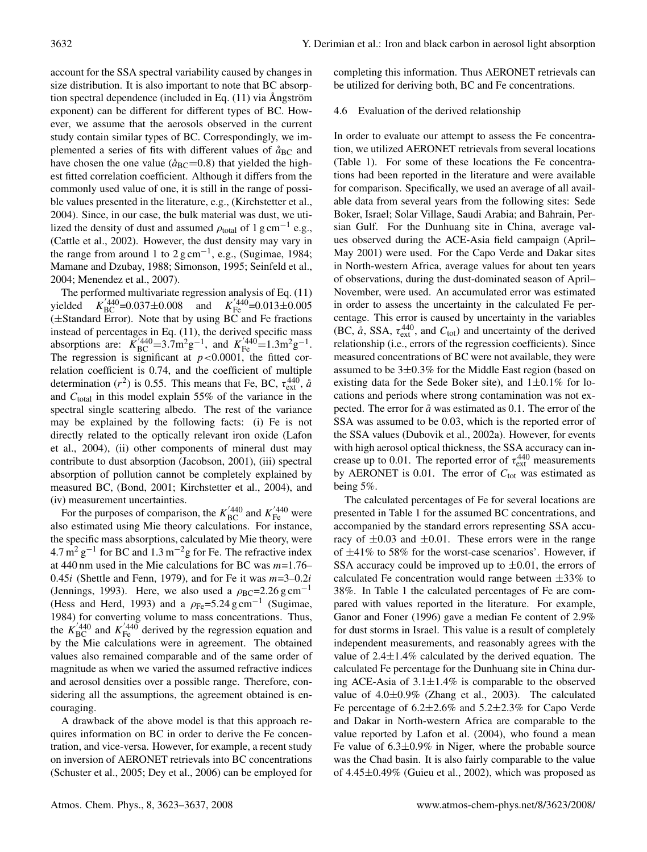account for the SSA spectral variability caused by changes in size distribution. It is also important to note that BC absorption spectral dependence (included in Eq.  $(11)$  via Angström exponent) can be different for different types of BC. However, we assume that the aerosols observed in the current study contain similar types of BC. Correspondingly, we implemented a series of fits with different values of  $\mathring{a}_{BC}$  and have chosen the one value ( $\hat{a}_{BC}=0.8$ ) that yielded the highest fitted correlation coefficient. Although it differs from the commonly used value of one, it is still in the range of possible values presented in the literature, e.g., (Kirchstetter et al., 2004). Since, in our case, the bulk material was dust, we utilized the density of dust and assumed  $\rho_{total}$  of 1 g cm<sup>-1</sup> e.g., (Cattle et al., 2002). However, the dust density may vary in the range from around 1 to  $2 \text{ g cm}^{-1}$ , e.g., (Sugimae, 1984; Mamane and Dzubay, 1988; Simonson, 1995; Seinfeld et al., 2004; Menendez et al., 2007).

The performed multivariate regression analysis of Eq. (11) yielded  $V_{\text{BC}}^{440}$ =0.037±0.008 and  $K_{\text{Fe}}^{440}$ =0.013±0.005 (±Standard Error). Note that by using BC and Fe fractions instead of percentages in Eq. (11), the derived specific mass absorptions are:  $K_{BC}^{7/440} = 3.7 \text{m}^2 \text{g}^{-1}$ , and  $K_{Fe}^{7/440} = 1.3 \text{m}^2 \text{g}^{-1}$ . The regression is significant at  $p < 0.0001$ , the fitted correlation coefficient is 0.74, and the coefficient of multiple determination ( $r^2$ ) is 0.55. This means that Fe, BC,  $\tau_{ext}^{440}$ ,  $\dot{a}$ and  $C_{\text{total}}$  in this model explain 55% of the variance in the spectral single scattering albedo. The rest of the variance may be explained by the following facts: (i) Fe is not directly related to the optically relevant iron oxide (Lafon et al., 2004), (ii) other components of mineral dust may contribute to dust absorption (Jacobson, 2001), (iii) spectral absorption of pollution cannot be completely explained by measured BC, (Bond, 2001; Kirchstetter et al., 2004), and (iv) measurement uncertainties.

For the purposes of comparison, the  $K_{BC}^{'440}$  and  $K_{Fe}^{'440}$  were also estimated using Mie theory calculations. For instance, the specific mass absorptions, calculated by Mie theory, were  $4.7 \,\mathrm{m}^2 \,\mathrm{g}^{-1}$  for BC and  $1.3 \,\mathrm{m}^{-2} \mathrm{g}$  for Fe. The refractive index at 440 nm used in the Mie calculations for BC was  $m=1.76-$ 0.45i (Shettle and Fenn, 1979), and for Fe it was  $m=3-0.2i$ (Jennings, 1993). Here, we also used a  $\rho_{BC}$ =2.26 g cm<sup>-1</sup> (Hess and Herd, 1993) and a  $\rho_{\text{Fe}} = 5.24 \text{ g cm}^{-1}$  (Sugimae, 1984) for converting volume to mass concentrations. Thus, the  $K_{\text{BC}}^{'440}$  and  $K_{\text{Fe}}^{'440}$  derived by the regression equation and by the Mie calculations were in agreement. The obtained values also remained comparable and of the same order of magnitude as when we varied the assumed refractive indices and aerosol densities over a possible range. Therefore, considering all the assumptions, the agreement obtained is encouraging.

A drawback of the above model is that this approach requires information on BC in order to derive the Fe concentration, and vice-versa. However, for example, a recent study on inversion of AERONET retrievals into BC concentrations (Schuster et al., 2005; Dey et al., 2006) can be employed for completing this information. Thus AERONET retrievals can be utilized for deriving both, BC and Fe concentrations.

#### 4.6 Evaluation of the derived relationship

In order to evaluate our attempt to assess the Fe concentration, we utilized AERONET retrievals from several locations (Table 1). For some of these locations the Fe concentrations had been reported in the literature and were available for comparison. Specifically, we used an average of all available data from several years from the following sites: Sede Boker, Israel; Solar Village, Saudi Arabia; and Bahrain, Persian Gulf. For the Dunhuang site in China, average values observed during the ACE-Asia field campaign (April– May 2001) were used. For the Capo Verde and Dakar sites in North-western Africa, average values for about ten years of observations, during the dust-dominated season of April– November, were used. An accumulated error was estimated in order to assess the uncertainty in the calculated Fe percentage. This error is caused by uncertainty in the variables (BC,  $\hat{a}$ , SSA,  $\tau_{ext}^{440}$ , and  $C_{tot}$ ) and uncertainty of the derived relationship (i.e., errors of the regression coefficients). Since measured concentrations of BC were not available, they were assumed to be  $3\pm0.3\%$  for the Middle East region (based on existing data for the Sede Boker site), and  $1\pm0.1\%$  for locations and periods where strong contamination was not expected. The error for  $\hat{a}$  was estimated as 0.1. The error of the SSA was assumed to be 0.03, which is the reported error of the SSA values (Dubovik et al., 2002a). However, for events with high aerosol optical thickness, the SSA accuracy can increase up to 0.01. The reported error of  $\tau_{ext}^{440}$  measurements by AERONET is 0.01. The error of  $C_{\text{tot}}$  was estimated as being 5%.

The calculated percentages of Fe for several locations are presented in Table 1 for the assumed BC concentrations, and accompanied by the standard errors representing SSA accuracy of  $\pm 0.03$  and  $\pm 0.01$ . These errors were in the range of  $\pm 41\%$  to 58% for the worst-case scenarios'. However, if SSA accuracy could be improved up to  $\pm 0.01$ , the errors of calculated Fe concentration would range between  $\pm 33\%$  to 38%. In Table 1 the calculated percentages of Fe are compared with values reported in the literature. For example, Ganor and Foner (1996) gave a median Fe content of 2.9% for dust storms in Israel. This value is a result of completely independent measurements, and reasonably agrees with the value of  $2.4 \pm 1.4\%$  calculated by the derived equation. The calculated Fe percentage for the Dunhuang site in China during ACE-Asia of  $3.1 \pm 1.4\%$  is comparable to the observed value of  $4.0\pm0.9\%$  (Zhang et al., 2003). The calculated Fe percentage of  $6.2 \pm 2.6\%$  and  $5.2 \pm 2.3\%$  for Capo Verde and Dakar in North-western Africa are comparable to the value reported by Lafon et al. (2004), who found a mean Fe value of  $6.3\pm0.9\%$  in Niger, where the probable source was the Chad basin. It is also fairly comparable to the value of 4.45±0.49% (Guieu et al., 2002), which was proposed as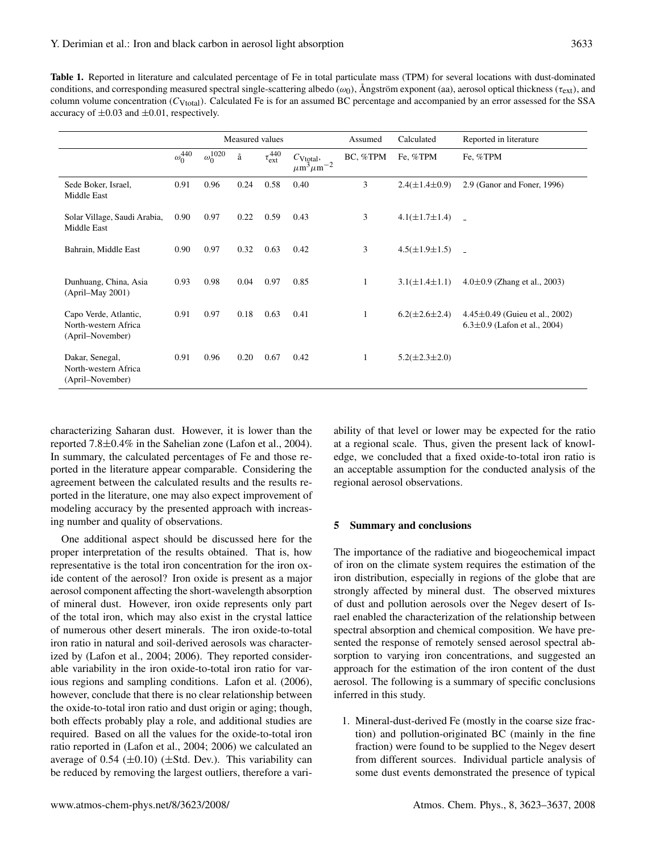| <b>Table 1.</b> Reported in literature and calculated percentage of Fe in total particulate mass (TPM) for several locations with dust-dominated                     |
|----------------------------------------------------------------------------------------------------------------------------------------------------------------------|
| conditions, and corresponding measured spectral single-scattering albedo ( $\omega_0$ ), Angström exponent (aa), aerosol optical thickness ( $\tau_{\rm ext}$ ), and |
| column volume concentration ( $C_{V_{total}}$ ). Calculated Fe is for an assumed BC percentage and accompanied by an error assessed for the SSA                      |
| accuracy of $\pm 0.03$ and $\pm 0.01$ , respectively.                                                                                                                |

|                                                                   |                  | Measured values              |      |                        |                                                          | Assumed      | Calculated             | Reported in literature                                                     |
|-------------------------------------------------------------------|------------------|------------------------------|------|------------------------|----------------------------------------------------------|--------------|------------------------|----------------------------------------------------------------------------|
|                                                                   | $\omega_0^{440}$ | $\omega_0^{\overline{102}0}$ | å    | $\tau_{\rm ext}^{440}$ | $C_{\text{Vtotal}}$ ,<br>$\mu\text{m}^3\mu\text{m}^{-2}$ | BC, %TPM     | Fe, %TPM               | Fe, %TPM                                                                   |
| Sede Boker, Israel,<br>Middle East                                | 0.91             | 0.96                         | 0.24 | 0.58                   | 0.40                                                     | 3            | $2.4(\pm 1.4 \pm 0.9)$ | 2.9 (Ganor and Foner, 1996)                                                |
| Solar Village, Saudi Arabia,<br>Middle East                       | 0.90             | 0.97                         | 0.22 | 0.59                   | 0.43                                                     | 3            | $4.1(\pm 1.7 \pm 1.4)$ | $\sim$                                                                     |
| Bahrain, Middle East                                              | 0.90             | 0.97                         | 0.32 | 0.63                   | 0.42                                                     | 3            | $4.5(\pm 1.9 \pm 1.5)$ |                                                                            |
| Dunhuang, China, Asia<br>$(April-May 2001)$                       | 0.93             | 0.98                         | 0.04 | 0.97                   | 0.85                                                     | $\mathbf{1}$ | $3.1(\pm 1.4 \pm 1.1)$ | $4.0\pm0.9$ (Zhang et al., 2003)                                           |
| Capo Verde, Atlantic,<br>North-western Africa<br>(April–November) | 0.91             | 0.97                         | 0.18 | 0.63                   | 0.41                                                     | $\mathbf{1}$ | $6.2(\pm 2.6 \pm 2.4)$ | $4.45 \pm 0.49$ (Guieu et al., 2002)<br>$6.3 \pm 0.9$ (Lafon et al., 2004) |
| Dakar, Senegal,<br>North-western Africa<br>(April–November)       | 0.91             | 0.96                         | 0.20 | 0.67                   | 0.42                                                     | 1            | $5.2(\pm 2.3 \pm 2.0)$ |                                                                            |

characterizing Saharan dust. However, it is lower than the reported 7.8±0.4% in the Sahelian zone (Lafon et al., 2004). In summary, the calculated percentages of Fe and those reported in the literature appear comparable. Considering the agreement between the calculated results and the results reported in the literature, one may also expect improvement of modeling accuracy by the presented approach with increasing number and quality of observations.

One additional aspect should be discussed here for the proper interpretation of the results obtained. That is, how representative is the total iron concentration for the iron oxide content of the aerosol? Iron oxide is present as a major aerosol component affecting the short-wavelength absorption of mineral dust. However, iron oxide represents only part of the total iron, which may also exist in the crystal lattice of numerous other desert minerals. The iron oxide-to-total iron ratio in natural and soil-derived aerosols was characterized by (Lafon et al., 2004; 2006). They reported considerable variability in the iron oxide-to-total iron ratio for various regions and sampling conditions. Lafon et al. (2006), however, conclude that there is no clear relationship between the oxide-to-total iron ratio and dust origin or aging; though, both effects probably play a role, and additional studies are required. Based on all the values for the oxide-to-total iron ratio reported in (Lafon et al., 2004; 2006) we calculated an average of  $0.54 \ (\pm 0.10) \ (\pm 1.5)$ . This variability can be reduced by removing the largest outliers, therefore a variability of that level or lower may be expected for the ratio at a regional scale. Thus, given the present lack of knowledge, we concluded that a fixed oxide-to-total iron ratio is an acceptable assumption for the conducted analysis of the regional aerosol observations.

# **5 Summary and conclusions**

The importance of the radiative and biogeochemical impact of iron on the climate system requires the estimation of the iron distribution, especially in regions of the globe that are strongly affected by mineral dust. The observed mixtures of dust and pollution aerosols over the Negev desert of Israel enabled the characterization of the relationship between spectral absorption and chemical composition. We have presented the response of remotely sensed aerosol spectral absorption to varying iron concentrations, and suggested an approach for the estimation of the iron content of the dust aerosol. The following is a summary of specific conclusions inferred in this study.

1. Mineral-dust-derived Fe (mostly in the coarse size fraction) and pollution-originated BC (mainly in the fine fraction) were found to be supplied to the Negev desert from different sources. Individual particle analysis of some dust events demonstrated the presence of typical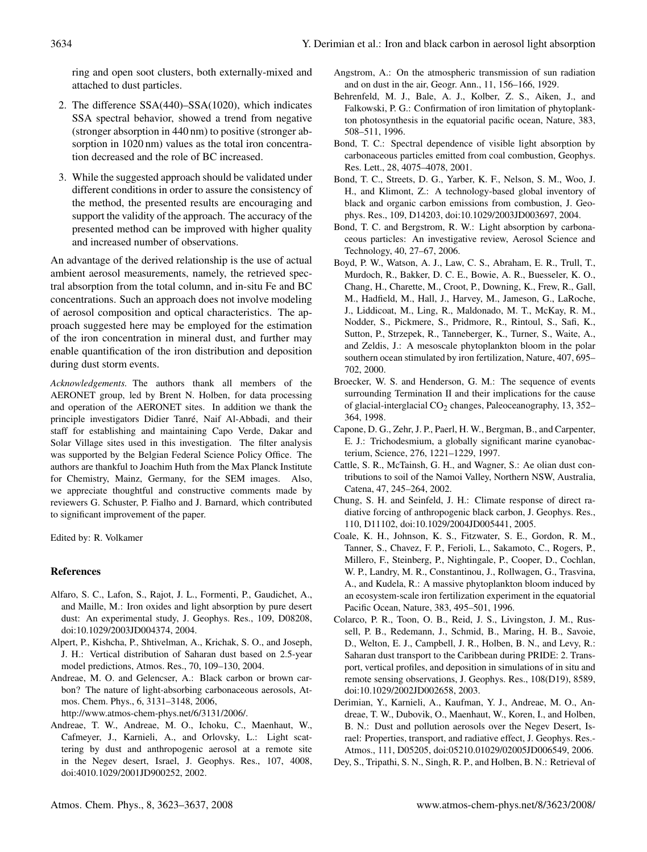ring and open soot clusters, both externally-mixed and attached to dust particles.

- 2. The difference SSA(440)–SSA(1020), which indicates SSA spectral behavior, showed a trend from negative (stronger absorption in 440 nm) to positive (stronger absorption in 1020 nm) values as the total iron concentration decreased and the role of BC increased.
- 3. While the suggested approach should be validated under different conditions in order to assure the consistency of the method, the presented results are encouraging and support the validity of the approach. The accuracy of the presented method can be improved with higher quality and increased number of observations.

An advantage of the derived relationship is the use of actual ambient aerosol measurements, namely, the retrieved spectral absorption from the total column, and in-situ Fe and BC concentrations. Such an approach does not involve modeling of aerosol composition and optical characteristics. The approach suggested here may be employed for the estimation of the iron concentration in mineral dust, and further may enable quantification of the iron distribution and deposition during dust storm events.

*Acknowledgements.* The authors thank all members of the AERONET group, led by Brent N. Holben, for data processing and operation of the AERONET sites. In addition we thank the principle investigators Didier Tanre, Naif Al-Abbadi, and their ´ staff for establishing and maintaining Capo Verde, Dakar and Solar Village sites used in this investigation. The filter analysis was supported by the Belgian Federal Science Policy Office. The authors are thankful to Joachim Huth from the Max Planck Institute for Chemistry, Mainz, Germany, for the SEM images. Also, we appreciate thoughtful and constructive comments made by reviewers G. Schuster, P. Fialho and J. Barnard, which contributed to significant improvement of the paper.

Edited by: R. Volkamer

#### **References**

- Alfaro, S. C., Lafon, S., Rajot, J. L., Formenti, P., Gaudichet, A., and Maille, M.: Iron oxides and light absorption by pure desert dust: An experimental study, J. Geophys. Res., 109, D08208, doi:10.1029/2003JD004374, 2004.
- Alpert, P., Kishcha, P., Shtivelman, A., Krichak, S. O., and Joseph, J. H.: Vertical distribution of Saharan dust based on 2.5-year model predictions, Atmos. Res., 70, 109–130, 2004.
- Andreae, M. O. and Gelencser, A.: Black carbon or brown carbon? The nature of light-absorbing carbonaceous aerosols, Atmos. Chem. Phys., 6, 3131–3148, 2006,

http://www.atmos-chem-phys.net/6/3131/2006/.

Andreae, T. W., Andreae, M. O., Ichoku, C., Maenhaut, W., Cafmeyer, J., Karnieli, A., and Orlovsky, L.: Light scattering by dust and anthropogenic aerosol at a remote site in the Negev desert, Israel, J. Geophys. Res., 107, 4008, doi:4010.1029/2001JD900252, 2002.

- Angstrom, A.: On the atmospheric transmission of sun radiation and on dust in the air, Geogr. Ann., 11, 156–166, 1929.
- Behrenfeld, M. J., Bale, A. J., Kolber, Z. S., Aiken, J., and Falkowski, P. G.: Confirmation of iron limitation of phytoplankton photosynthesis in the equatorial pacific ocean, Nature, 383, 508–511, 1996.
- Bond, T. C.: Spectral dependence of visible light absorption by carbonaceous particles emitted from coal combustion, Geophys. Res. Lett., 28, 4075–4078, 2001.
- Bond, T. C., Streets, D. G., Yarber, K. F., Nelson, S. M., Woo, J. H., and Klimont, Z.: A technology-based global inventory of black and organic carbon emissions from combustion, J. Geophys. Res., 109, D14203, doi:10.1029/2003JD003697, 2004.
- Bond, T. C. and Bergstrom, R. W.: Light absorption by carbonaceous particles: An investigative review, Aerosol Science and Technology, 40, 27–67, 2006.
- Boyd, P. W., Watson, A. J., Law, C. S., Abraham, E. R., Trull, T., Murdoch, R., Bakker, D. C. E., Bowie, A. R., Buesseler, K. O., Chang, H., Charette, M., Croot, P., Downing, K., Frew, R., Gall, M., Hadfield, M., Hall, J., Harvey, M., Jameson, G., LaRoche, J., Liddicoat, M., Ling, R., Maldonado, M. T., McKay, R. M., Nodder, S., Pickmere, S., Pridmore, R., Rintoul, S., Safi, K., Sutton, P., Strzepek, R., Tanneberger, K., Turner, S., Waite, A., and Zeldis, J.: A mesoscale phytoplankton bloom in the polar southern ocean stimulated by iron fertilization, Nature, 407, 695– 702, 2000.
- Broecker, W. S. and Henderson, G. M.: The sequence of events surrounding Termination II and their implications for the cause of glacial-interglacial CO<sub>2</sub> changes, Paleoceanography, 13, 352-364, 1998.
- Capone, D. G., Zehr, J. P., Paerl, H. W., Bergman, B., and Carpenter, E. J.: Trichodesmium, a globally significant marine cyanobacterium, Science, 276, 1221–1229, 1997.
- Cattle, S. R., McTainsh, G. H., and Wagner, S.: Ae olian dust contributions to soil of the Namoi Valley, Northern NSW, Australia, Catena, 47, 245–264, 2002.
- Chung, S. H. and Seinfeld, J. H.: Climate response of direct radiative forcing of anthropogenic black carbon, J. Geophys. Res., 110, D11102, doi:10.1029/2004JD005441, 2005.
- Coale, K. H., Johnson, K. S., Fitzwater, S. E., Gordon, R. M., Tanner, S., Chavez, F. P., Ferioli, L., Sakamoto, C., Rogers, P., Millero, F., Steinberg, P., Nightingale, P., Cooper, D., Cochlan, W. P., Landry, M. R., Constantinou, J., Rollwagen, G., Trasvina, A., and Kudela, R.: A massive phytoplankton bloom induced by an ecosystem-scale iron fertilization experiment in the equatorial Pacific Ocean, Nature, 383, 495–501, 1996.
- Colarco, P. R., Toon, O. B., Reid, J. S., Livingston, J. M., Russell, P. B., Redemann, J., Schmid, B., Maring, H. B., Savoie, D., Welton, E. J., Campbell, J. R., Holben, B. N., and Levy, R.: Saharan dust transport to the Caribbean during PRIDE: 2. Transport, vertical profiles, and deposition in simulations of in situ and remote sensing observations, J. Geophys. Res., 108(D19), 8589, doi:10.1029/2002JD002658, 2003.
- Derimian, Y., Karnieli, A., Kaufman, Y. J., Andreae, M. O., Andreae, T. W., Dubovik, O., Maenhaut, W., Koren, I., and Holben, B. N.: Dust and pollution aerosols over the Negev Desert, Israel: Properties, transport, and radiative effect, J. Geophys. Res.- Atmos., 111, D05205, doi:05210.01029/02005JD006549, 2006.
- Dey, S., Tripathi, S. N., Singh, R. P., and Holben, B. N.: Retrieval of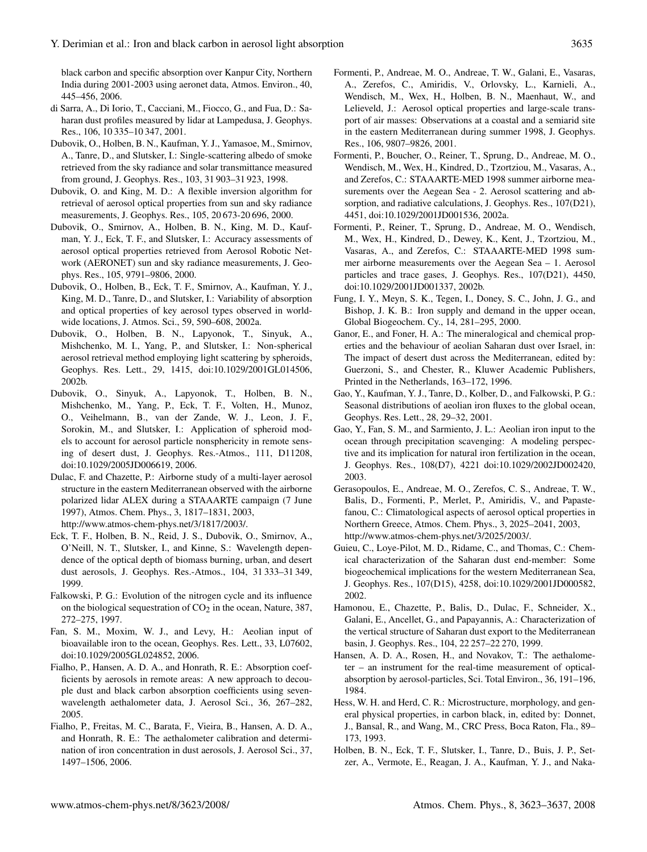black carbon and specific absorption over Kanpur City, Northern India during 2001-2003 using aeronet data, Atmos. Environ., 40, 445–456, 2006.

- di Sarra, A., Di Iorio, T., Cacciani, M., Fiocco, G., and Fua, D.: Saharan dust profiles measured by lidar at Lampedusa, J. Geophys. Res., 106, 10 335–10 347, 2001.
- Dubovik, O., Holben, B. N., Kaufman, Y. J., Yamasoe, M., Smirnov, A., Tanre, D., and Slutsker, I.: Single-scattering albedo of smoke retrieved from the sky radiance and solar transmittance measured from ground, J. Geophys. Res., 103, 31 903–31 923, 1998.
- Dubovik, O. and King, M. D.: A flexible inversion algorithm for retrieval of aerosol optical properties from sun and sky radiance measurements, J. Geophys. Res., 105, 20 673-20 696, 2000.
- Dubovik, O., Smirnov, A., Holben, B. N., King, M. D., Kaufman, Y. J., Eck, T. F., and Slutsker, I.: Accuracy assessments of aerosol optical properties retrieved from Aerosol Robotic Network (AERONET) sun and sky radiance measurements, J. Geophys. Res., 105, 9791–9806, 2000.
- Dubovik, O., Holben, B., Eck, T. F., Smirnov, A., Kaufman, Y. J., King, M. D., Tanre, D., and Slutsker, I.: Variability of absorption and optical properties of key aerosol types observed in worldwide locations, J. Atmos. Sci., 59, 590–608, 2002a.
- Dubovik, O., Holben, B. N., Lapyonok, T., Sinyuk, A., Mishchenko, M. I., Yang, P., and Slutsker, I.: Non-spherical aerosol retrieval method employing light scattering by spheroids, Geophys. Res. Lett., 29, 1415, doi:10.1029/2001GL014506, 2002b.
- Dubovik, O., Sinyuk, A., Lapyonok, T., Holben, B. N., Mishchenko, M., Yang, P., Eck, T. F., Volten, H., Munoz, O., Veihelmann, B., van der Zande, W. J., Leon, J. F., Sorokin, M., and Slutsker, I.: Application of spheroid models to account for aerosol particle nonsphericity in remote sensing of desert dust, J. Geophys. Res.-Atmos., 111, D11208, doi:10.1029/2005JD006619, 2006.
- Dulac, F. and Chazette, P.: Airborne study of a multi-layer aerosol structure in the eastern Mediterranean observed with the airborne polarized lidar ALEX during a STAAARTE campaign (7 June 1997), Atmos. Chem. Phys., 3, 1817–1831, 2003, http://www.atmos-chem-phys.net/3/1817/2003/.
- Eck, T. F., Holben, B. N., Reid, J. S., Dubovik, O., Smirnov, A., O'Neill, N. T., Slutsker, I., and Kinne, S.: Wavelength dependence of the optical depth of biomass burning, urban, and desert dust aerosols, J. Geophys. Res.-Atmos., 104, 31 333–31 349, 1999.
- Falkowski, P. G.: Evolution of the nitrogen cycle and its influence on the biological sequestration of  $CO<sub>2</sub>$  in the ocean, Nature, 387, 272–275, 1997.
- Fan, S. M., Moxim, W. J., and Levy, H.: Aeolian input of bioavailable iron to the ocean, Geophys. Res. Lett., 33, L07602, doi:10.1029/2005GL024852, 2006.
- Fialho, P., Hansen, A. D. A., and Honrath, R. E.: Absorption coefficients by aerosols in remote areas: A new approach to decouple dust and black carbon absorption coefficients using sevenwavelength aethalometer data, J. Aerosol Sci., 36, 267–282, 2005.
- Fialho, P., Freitas, M. C., Barata, F., Vieira, B., Hansen, A. D. A., and Honrath, R. E.: The aethalometer calibration and determination of iron concentration in dust aerosols, J. Aerosol Sci., 37, 1497–1506, 2006.
- Formenti, P., Andreae, M. O., Andreae, T. W., Galani, E., Vasaras, A., Zerefos, C., Amiridis, V., Orlovsky, L., Karnieli, A., Wendisch, M., Wex, H., Holben, B. N., Maenhaut, W., and Lelieveld, J.: Aerosol optical properties and large-scale transport of air masses: Observations at a coastal and a semiarid site in the eastern Mediterranean during summer 1998, J. Geophys. Res., 106, 9807–9826, 2001.
- Formenti, P., Boucher, O., Reiner, T., Sprung, D., Andreae, M. O., Wendisch, M., Wex, H., Kindred, D., Tzortziou, M., Vasaras, A., and Zerefos, C.: STAAARTE-MED 1998 summer airborne measurements over the Aegean Sea - 2. Aerosol scattering and absorption, and radiative calculations, J. Geophys. Res., 107(D21), 4451, doi:10.1029/2001JD001536, 2002a.
- Formenti, P., Reiner, T., Sprung, D., Andreae, M. O., Wendisch, M., Wex, H., Kindred, D., Dewey, K., Kent, J., Tzortziou, M., Vasaras, A., and Zerefos, C.: STAAARTE-MED 1998 summer airborne measurements over the Aegean Sea – 1. Aerosol particles and trace gases, J. Geophys. Res., 107(D21), 4450, doi:10.1029/2001JD001337, 2002b.
- Fung, I. Y., Meyn, S. K., Tegen, I., Doney, S. C., John, J. G., and Bishop, J. K. B.: Iron supply and demand in the upper ocean, Global Biogeochem. Cy., 14, 281–295, 2000.
- Ganor, E., and Foner, H. A.: The mineralogical and chemical properties and the behaviour of aeolian Saharan dust over Israel, in: The impact of desert dust across the Mediterranean, edited by: Guerzoni, S., and Chester, R., Kluwer Academic Publishers, Printed in the Netherlands, 163–172, 1996.
- Gao, Y., Kaufman, Y. J., Tanre, D., Kolber, D., and Falkowski, P. G.: Seasonal distributions of aeolian iron fluxes to the global ocean, Geophys. Res. Lett., 28, 29–32, 2001.
- Gao, Y., Fan, S. M., and Sarmiento, J. L.: Aeolian iron input to the ocean through precipitation scavenging: A modeling perspective and its implication for natural iron fertilization in the ocean, J. Geophys. Res., 108(D7), 4221 doi:10.1029/2002JD002420, 2003.
- Gerasopoulos, E., Andreae, M. O., Zerefos, C. S., Andreae, T. W., Balis, D., Formenti, P., Merlet, P., Amiridis, V., and Papastefanou, C.: Climatological aspects of aerosol optical properties in Northern Greece, Atmos. Chem. Phys., 3, 2025–2041, 2003, http://www.atmos-chem-phys.net/3/2025/2003/.
- Guieu, C., Loye-Pilot, M. D., Ridame, C., and Thomas, C.: Chemical characterization of the Saharan dust end-member: Some biogeochemical implications for the western Mediterranean Sea, J. Geophys. Res., 107(D15), 4258, doi:10.1029/2001JD000582, 2002.
- Hamonou, E., Chazette, P., Balis, D., Dulac, F., Schneider, X., Galani, E., Ancellet, G., and Papayannis, A.: Characterization of the vertical structure of Saharan dust export to the Mediterranean basin, J. Geophys. Res., 104, 22 257–22 270, 1999.
- Hansen, A. D. A., Rosen, H., and Novakov, T.: The aethalometer – an instrument for the real-time measurement of opticalabsorption by aerosol-particles, Sci. Total Environ., 36, 191–196, 1984.
- Hess, W. H. and Herd, C. R.: Microstructure, morphology, and general physical properties, in carbon black, in, edited by: Donnet, J., Bansal, R., and Wang, M., CRC Press, Boca Raton, Fla., 89– 173, 1993.
- Holben, B. N., Eck, T. F., Slutsker, I., Tanre, D., Buis, J. P., Setzer, A., Vermote, E., Reagan, J. A., Kaufman, Y. J., and Naka-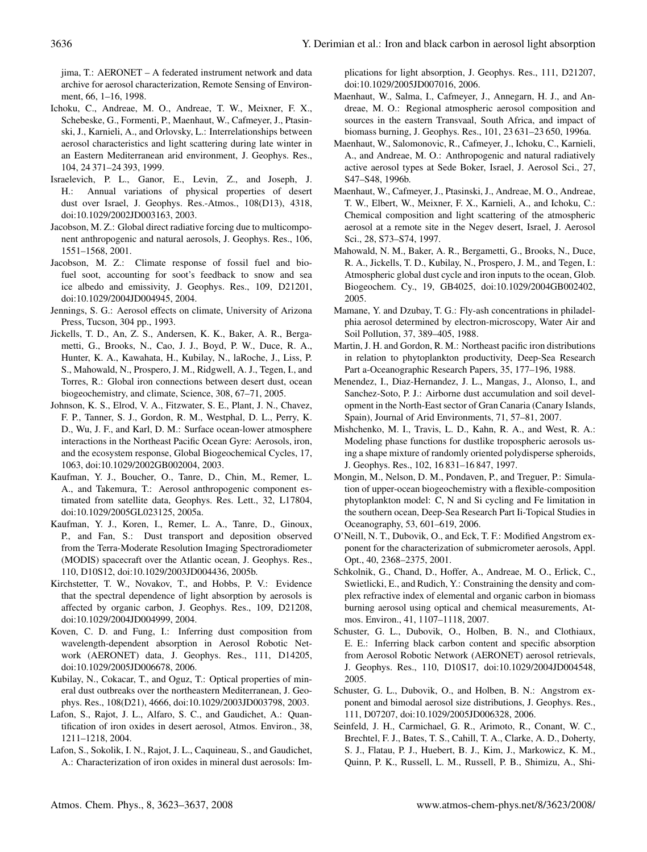jima, T.: AERONET – A federated instrument network and data archive for aerosol characterization, Remote Sensing of Environment, 66, 1–16, 1998.

- Ichoku, C., Andreae, M. O., Andreae, T. W., Meixner, F. X., Schebeske, G., Formenti, P., Maenhaut, W., Cafmeyer, J., Ptasinski, J., Karnieli, A., and Orlovsky, L.: Interrelationships between aerosol characteristics and light scattering during late winter in an Eastern Mediterranean arid environment, J. Geophys. Res., 104, 24 371–24 393, 1999.
- Israelevich, P. L., Ganor, E., Levin, Z., and Joseph, J. H.: Annual variations of physical properties of desert dust over Israel, J. Geophys. Res.-Atmos., 108(D13), 4318, doi:10.1029/2002JD003163, 2003.
- Jacobson, M. Z.: Global direct radiative forcing due to multicomponent anthropogenic and natural aerosols, J. Geophys. Res., 106, 1551–1568, 2001.
- Jacobson, M. Z.: Climate response of fossil fuel and biofuel soot, accounting for soot's feedback to snow and sea ice albedo and emissivity, J. Geophys. Res., 109, D21201, doi:10.1029/2004JD004945, 2004.
- Jennings, S. G.: Aerosol effects on climate, University of Arizona Press, Tucson, 304 pp., 1993.
- Jickells, T. D., An, Z. S., Andersen, K. K., Baker, A. R., Bergametti, G., Brooks, N., Cao, J. J., Boyd, P. W., Duce, R. A., Hunter, K. A., Kawahata, H., Kubilay, N., laRoche, J., Liss, P. S., Mahowald, N., Prospero, J. M., Ridgwell, A. J., Tegen, I., and Torres, R.: Global iron connections between desert dust, ocean biogeochemistry, and climate, Science, 308, 67–71, 2005.
- Johnson, K. S., Elrod, V. A., Fitzwater, S. E., Plant, J. N., Chavez, F. P., Tanner, S. J., Gordon, R. M., Westphal, D. L., Perry, K. D., Wu, J. F., and Karl, D. M.: Surface ocean-lower atmosphere interactions in the Northeast Pacific Ocean Gyre: Aerosols, iron, and the ecosystem response, Global Biogeochemical Cycles, 17, 1063, doi:10.1029/2002GB002004, 2003.
- Kaufman, Y. J., Boucher, O., Tanre, D., Chin, M., Remer, L. A., and Takemura, T.: Aerosol anthropogenic component estimated from satellite data, Geophys. Res. Lett., 32, L17804, doi:10.1029/2005GL023125, 2005a.
- Kaufman, Y. J., Koren, I., Remer, L. A., Tanre, D., Ginoux, P., and Fan, S.: Dust transport and deposition observed from the Terra-Moderate Resolution Imaging Spectroradiometer (MODIS) spacecraft over the Atlantic ocean, J. Geophys. Res., 110, D10S12, doi:10.1029/2003JD004436, 2005b.
- Kirchstetter, T. W., Novakov, T., and Hobbs, P. V.: Evidence that the spectral dependence of light absorption by aerosols is affected by organic carbon, J. Geophys. Res., 109, D21208, doi:10.1029/2004JD004999, 2004.
- Koven, C. D. and Fung, I.: Inferring dust composition from wavelength-dependent absorption in Aerosol Robotic Network (AERONET) data, J. Geophys. Res., 111, D14205, doi:10.1029/2005JD006678, 2006.
- Kubilay, N., Cokacar, T., and Oguz, T.: Optical properties of mineral dust outbreaks over the northeastern Mediterranean, J. Geophys. Res., 108(D21), 4666, doi:10.1029/2003JD003798, 2003.
- Lafon, S., Rajot, J. L., Alfaro, S. C., and Gaudichet, A.: Quantification of iron oxides in desert aerosol, Atmos. Environ., 38, 1211–1218, 2004.
- Lafon, S., Sokolik, I. N., Rajot, J. L., Caquineau, S., and Gaudichet, A.: Characterization of iron oxides in mineral dust aerosols: Im-

plications for light absorption, J. Geophys. Res., 111, D21207, doi:10.1029/2005JD007016, 2006.

- Maenhaut, W., Salma, I., Cafmeyer, J., Annegarn, H. J., and Andreae, M. O.: Regional atmospheric aerosol composition and sources in the eastern Transvaal, South Africa, and impact of biomass burning, J. Geophys. Res., 101, 23 631–23 650, 1996a.
- Maenhaut, W., Salomonovic, R., Cafmeyer, J., Ichoku, C., Karnieli, A., and Andreae, M. O.: Anthropogenic and natural radiatively active aerosol types at Sede Boker, Israel, J. Aerosol Sci., 27, S47–S48, 1996b.
- Maenhaut, W., Cafmeyer, J., Ptasinski, J., Andreae, M. O., Andreae, T. W., Elbert, W., Meixner, F. X., Karnieli, A., and Ichoku, C.: Chemical composition and light scattering of the atmospheric aerosol at a remote site in the Negev desert, Israel, J. Aerosol Sci., 28, S73–S74, 1997.
- Mahowald, N. M., Baker, A. R., Bergametti, G., Brooks, N., Duce, R. A., Jickells, T. D., Kubilay, N., Prospero, J. M., and Tegen, I.: Atmospheric global dust cycle and iron inputs to the ocean, Glob. Biogeochem. Cy., 19, GB4025, doi:10.1029/2004GB002402, 2005.
- Mamane, Y. and Dzubay, T. G.: Fly-ash concentrations in philadelphia aerosol determined by electron-microscopy, Water Air and Soil Pollution, 37, 389–405, 1988.
- Martin, J. H. and Gordon, R. M.: Northeast pacific iron distributions in relation to phytoplankton productivity, Deep-Sea Research Part a-Oceanographic Research Papers, 35, 177–196, 1988.
- Menendez, I., Diaz-Hernandez, J. L., Mangas, J., Alonso, I., and Sanchez-Soto, P. J.: Airborne dust accumulation and soil development in the North-East sector of Gran Canaria (Canary Islands, Spain), Journal of Arid Environments, 71, 57–81, 2007.
- Mishchenko, M. I., Travis, L. D., Kahn, R. A., and West, R. A.: Modeling phase functions for dustlike tropospheric aerosols using a shape mixture of randomly oriented polydisperse spheroids, J. Geophys. Res., 102, 16 831–16 847, 1997.
- Mongin, M., Nelson, D. M., Pondaven, P., and Treguer, P.: Simulation of upper-ocean biogeochemistry with a flexible-composition phytoplankton model: C, N and Si cycling and Fe limitation in the southern ocean, Deep-Sea Research Part Ii-Topical Studies in Oceanography, 53, 601–619, 2006.
- O'Neill, N. T., Dubovik, O., and Eck, T. F.: Modified Angstrom exponent for the characterization of submicrometer aerosols, Appl. Opt., 40, 2368–2375, 2001.
- Schkolnik, G., Chand, D., Hoffer, A., Andreae, M. O., Erlick, C., Swietlicki, E., and Rudich, Y.: Constraining the density and complex refractive index of elemental and organic carbon in biomass burning aerosol using optical and chemical measurements, Atmos. Environ., 41, 1107–1118, 2007.
- Schuster, G. L., Dubovik, O., Holben, B. N., and Clothiaux, E. E.: Inferring black carbon content and specific absorption from Aerosol Robotic Network (AERONET) aerosol retrievals, J. Geophys. Res., 110, D10S17, doi:10.1029/2004JD004548, 2005.
- Schuster, G. L., Dubovik, O., and Holben, B. N.: Angstrom exponent and bimodal aerosol size distributions, J. Geophys. Res., 111, D07207, doi:10.1029/2005JD006328, 2006.
- Seinfeld, J. H., Carmichael, G. R., Arimoto, R., Conant, W. C., Brechtel, F. J., Bates, T. S., Cahill, T. A., Clarke, A. D., Doherty, S. J., Flatau, P. J., Huebert, B. J., Kim, J., Markowicz, K. M., Quinn, P. K., Russell, L. M., Russell, P. B., Shimizu, A., Shi-